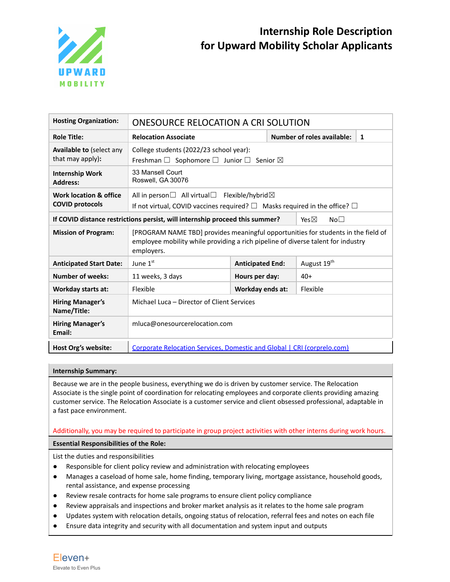

| <b>Hosting Organization:</b>                     | ONESOURCE RELOCATION A CRI SOLUTION                                                                                                                                                 |                         |                                    |   |
|--------------------------------------------------|-------------------------------------------------------------------------------------------------------------------------------------------------------------------------------------|-------------------------|------------------------------------|---|
| <b>Role Title:</b>                               | <b>Relocation Associate</b>                                                                                                                                                         |                         | <b>Number of roles available:</b>  | 1 |
| Available to (select any<br>that may apply):     | College students (2022/23 school year):<br>Freshman $\Box$ Sophomore $\Box$ Junior $\Box$ Senior $\boxtimes$                                                                        |                         |                                    |   |
| <b>Internship Work</b><br><b>Address:</b>        | 33 Mansell Court<br>Roswell, GA 30076                                                                                                                                               |                         |                                    |   |
| Work location & office<br><b>COVID protocols</b> | All in person $\Box$ All virtual $\Box$ Flexible/hybrid $\boxtimes$<br>If not virtual, COVID vaccines required? $\Box$ Masks required in the office? $\Box$                         |                         |                                    |   |
|                                                  | If COVID distance restrictions persist, will internship proceed this summer?                                                                                                        |                         | Yes $\boxtimes$<br>No <sub>1</sub> |   |
| <b>Mission of Program:</b>                       | [PROGRAM NAME TBD] provides meaningful opportunities for students in the field of<br>employee mobility while providing a rich pipeline of diverse talent for industry<br>employers. |                         |                                    |   |
| <b>Anticipated Start Date:</b>                   | June 1 <sup>st</sup>                                                                                                                                                                | <b>Anticipated End:</b> | August 19 <sup>th</sup>            |   |
| <b>Number of weeks:</b>                          | 11 weeks, 3 days                                                                                                                                                                    | Hours per day:          | $40+$                              |   |
| <b>Workday starts at:</b>                        | Flexible                                                                                                                                                                            | Workday ends at:        | Flexible                           |   |
| <b>Hiring Manager's</b><br>Name/Title:           | Michael Luca - Director of Client Services                                                                                                                                          |                         |                                    |   |
| <b>Hiring Manager's</b><br>Email:                | mluca@onesourcerelocation.com                                                                                                                                                       |                         |                                    |   |
| Host Org's website:                              | Corporate Relocation Services, Domestic and Global   CRI (corprelo.com)                                                                                                             |                         |                                    |   |

## **Internship Summary:**

Because we are in the people business, everything we do is driven by customer service. The Relocation Associate is the single point of coordination for relocating employees and corporate clients providing amazing customer service. The Relocation Associate is a customer service and client obsessed professional, adaptable in a fast pace environment.

# Additionally, you may be required to participate in group project activities with other interns during work hours.

## **Essential Responsibilities of the Role:**

List the duties and responsibilities

- Responsible for client policy review and administration with relocating employees
- Manages a caseload of home sale, home finding, temporary living, mortgage assistance, household goods, rental assistance, and expense processing
- Review resale contracts for home sale programs to ensure client policy compliance
- Review appraisals and inspections and broker market analysis as it relates to the home sale program
- Updates system with relocation details, ongoing status of relocation, referral fees and notes on each file
- Ensure data integrity and security with all documentation and system input and outputs